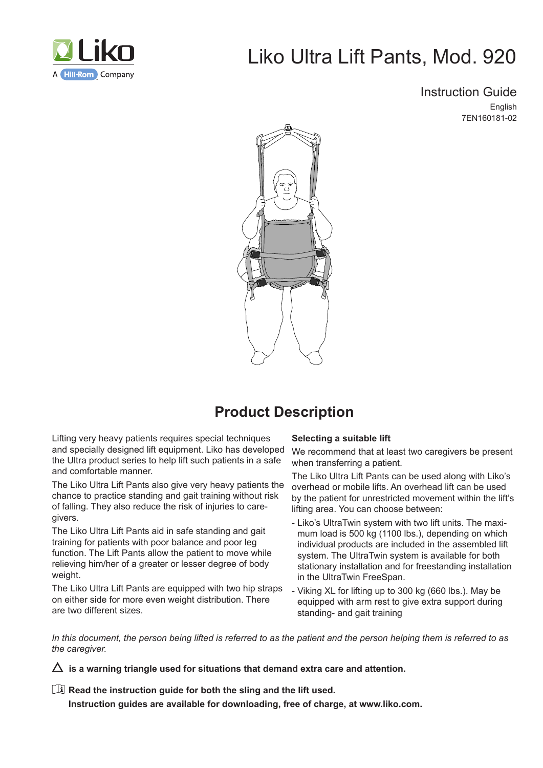

# Liko Ultra Lift Pants, Mod. 920

Instruction Guide English

7EN160181-02



## **Product Description**

Lifting very heavy patients requires special techniques and specially designed lift equipment. Liko has developed the Ultra product series to help lift such patients in a safe and comfortable manner.

The Liko Ultra Lift Pants also give very heavy patients the chance to practice standing and gait training without risk of falling. They also reduce the risk of injuries to caregivers.

The Liko Ultra Lift Pants aid in safe standing and gait training for patients with poor balance and poor leg function. The Lift Pants allow the patient to move while relieving him/her of a greater or lesser degree of body weight.

The Liko Ultra Lift Pants are equipped with two hip straps on either side for more even weight distribution. There are two different sizes.

#### **Selecting a suitable lift**

We recommend that at least two caregivers be present when transferring a patient.

The Liko Ultra Lift Pants can be used along with Liko's overhead or mobile lifts. An overhead lift can be used by the patient for unrestricted movement within the lift's lifting area. You can choose between:

- Liko's UltraTwin system with two lift units. The maximum load is 500 kg (1100 lbs.), depending on which individual products are included in the assembled lift system. The UltraTwin system is available for both stationary installation and for freestanding installation in the UltraTwin FreeSpan.
- Viking XL for lifting up to 300 kg (660 lbs.). May be equipped with arm rest to give extra support during standing- and gait training

*In this document, the person being lifted is referred to as the patient and the person helping them is referred to as the caregiver.*

 $\Delta$  is a warning triangle used for situations that demand extra care and attention.

**Read the instruction guide for both the sling and the lift used.**

**Instruction guides are available for downloading, free of charge, at www.liko.com.**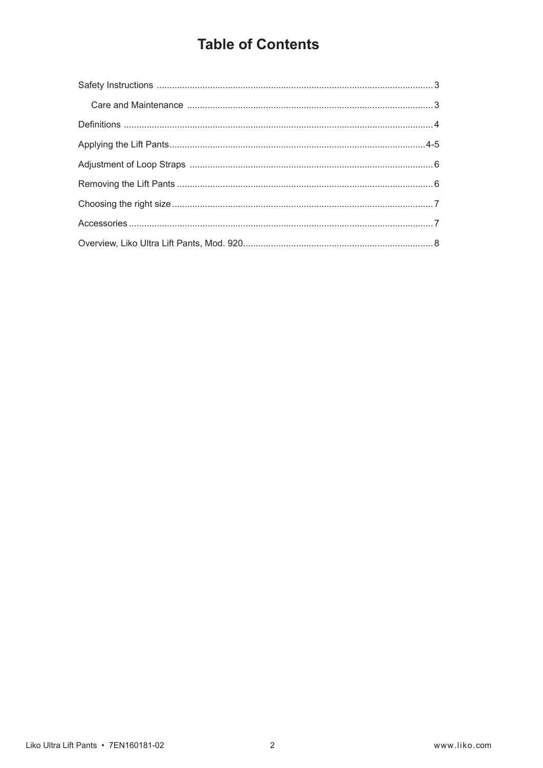## **Table of Contents**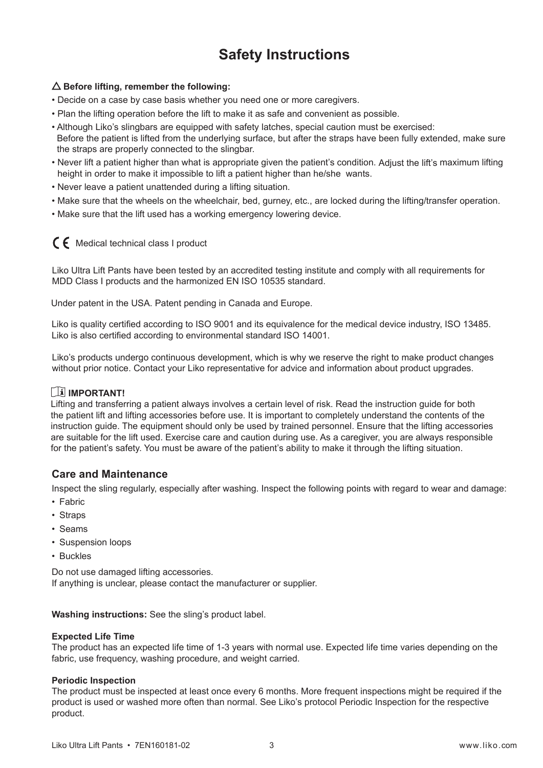## **Safety Instructions**

### **Before lifting, remember the following:**

- Decide on a case by case basis whether you need one or more caregivers.
- Plan the lifting operation before the lift to make it as safe and convenient as possible.
- Although Liko's slingbars are equipped with safety latches, special caution must be exercised: Before the patient is lifted from the underlying surface, but after the straps have been fully extended, make sure the straps are properly connected to the slingbar.
- Never lift a patient higher than what is appropriate given the patient's condition. Adjust the lift's maximum lifting height in order to make it impossible to lift a patient higher than he/she wants.
- Never leave a patient unattended during a lifting situation.
- Make sure that the wheels on the wheelchair, bed, gurney, etc., are locked during the lifting/transfer operation.
- Make sure that the lift used has a working emergency lowering device.

### $C \nvert C$  Medical technical class I product

Liko Ultra Lift Pants have been tested by an accredited testing institute and comply with all requirements for MDD Class I products and the harmonized EN ISO 10535 standard.

Under patent in the USA. Patent pending in Canada and Europe.

Liko is quality certified according to ISO 9001 and its equivalence for the medical device industry, ISO 13485. Liko is also certified according to environmental standard ISO 14001.

Liko's products undergo continuous development, which is why we reserve the right to make product changes without prior notice. Contact your Liko representative for advice and information about product upgrades.

### **IMPORTANT!**

Lifting and transferring a patient always involves a certain level of risk. Read the instruction guide for both the patient lift and lifting accessories before use. It is important to completely understand the contents of the instruction guide. The equipment should only be used by trained personnel. Ensure that the lifting accessories are suitable for the lift used. Exercise care and caution during use. As a caregiver, you are always responsible for the patient's safety. You must be aware of the patient's ability to make it through the lifting situation.

### **Care and Maintenance**

Inspect the sling regularly, especially after washing. Inspect the following points with regard to wear and damage:

- Fabric
- Straps
- Seams
- Suspension loops
- Buckles

Do not use damaged lifting accessories. If anything is unclear, please contact the manufacturer or supplier.

**Washing instructions:** See the sling's product label.

#### **Expected Life Time**

The product has an expected life time of 1-3 years with normal use. Expected life time varies depending on the fabric, use frequency, washing procedure, and weight carried.

### **Periodic Inspection**

The product must be inspected at least once every 6 months. More frequent inspections might be required if the product is used or washed more often than normal. See Liko's protocol Periodic Inspection for the respective product.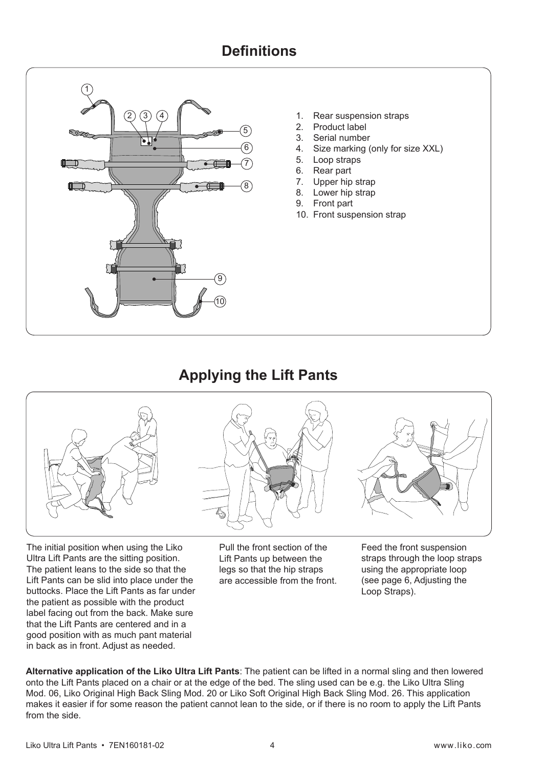## **Definitions**



- 1. Rear suspension straps
- 2. Product label
- 3. Serial number
- 4. Size marking (only for size XXL)
- 5. Loop straps
- 6. Rear part
- 7. Upper hip strap
- 8. Lower hip strap
- 9. Front part
- 10. Front suspension strap

### **Applying the Lift Pants**



The initial position when using the Liko Ultra Lift Pants are the sitting position. The patient leans to the side so that the Lift Pants can be slid into place under the buttocks. Place the Lift Pants as far under the patient as possible with the product label facing out from the back. Make sure that the Lift Pants are centered and in a good position with as much pant material in back as in front. Adjust as needed.

Pull the front section of the Lift Pants up between the legs so that the hip straps are accessible from the front.

Feed the front suspension straps through the loop straps using the appropriate loop (see page 6, Adjusting the Loop Straps).

**Alternative application of the Liko Ultra Lift Pants**: The patient can be lifted in a normal sling and then lowered onto the Lift Pants placed on a chair or at the edge of the bed. The sling used can be e.g. the Liko Ultra Sling Mod. 06, Liko Original High Back Sling Mod. 20 or Liko Soft Original High Back Sling Mod. 26. This application makes it easier if for some reason the patient cannot lean to the side, or if there is no room to apply the Lift Pants from the side.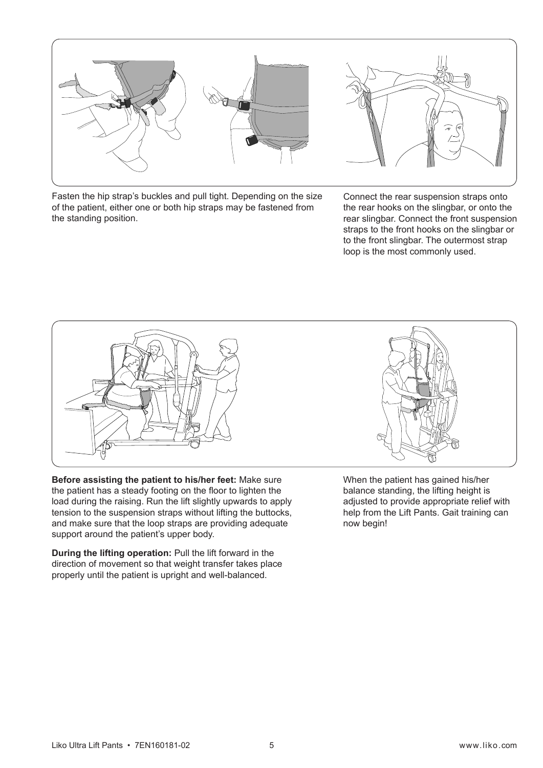

Fasten the hip strap's buckles and pull tight. Depending on the size of the patient, either one or both hip straps may be fastened from the standing position.



Connect the rear suspension straps onto the rear hooks on the slingbar, or onto the rear slingbar. Connect the front suspension straps to the front hooks on the slingbar or to the front slingbar. The outermost strap loop is the most commonly used.



**Before assisting the patient to his/her feet:** Make sure the patient has a steady footing on the floor to lighten the load during the raising. Run the lift slightly upwards to apply tension to the suspension straps without lifting the buttocks, and make sure that the loop straps are providing adequate support around the patient's upper body.

**During the lifting operation:** Pull the lift forward in the direction of movement so that weight transfer takes place properly until the patient is upright and well-balanced.

When the patient has gained his/her balance standing, the lifting height is adjusted to provide appropriate relief with help from the Lift Pants. Gait training can now begin!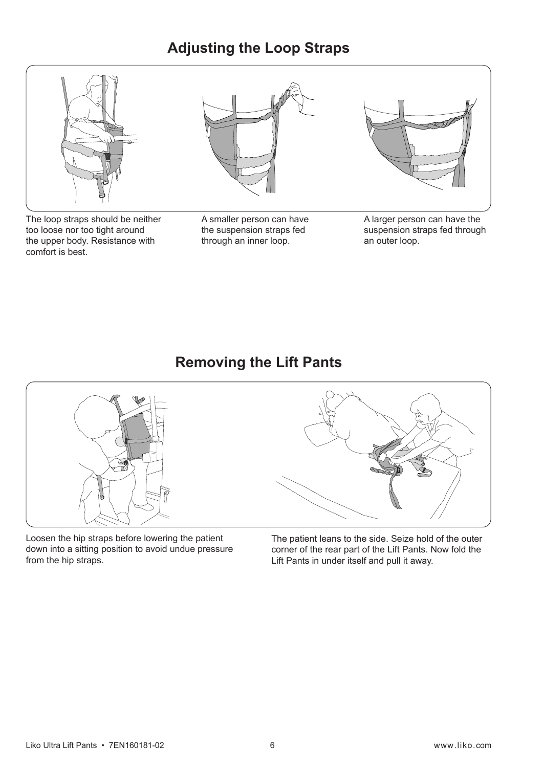## **Adjusting the Loop Straps**



The loop straps should be neither too loose nor too tight around the upper body. Resistance with comfort is best.

A smaller person can have the suspension straps fed through an inner loop.

A larger person can have the suspension straps fed through an outer loop.

## **Removing the Lift Pants**



Loosen the hip straps before lowering the patient down into a sitting position to avoid undue pressure from the hip straps.

The patient leans to the side. Seize hold of the outer corner of the rear part of the Lift Pants. Now fold the Lift Pants in under itself and pull it away.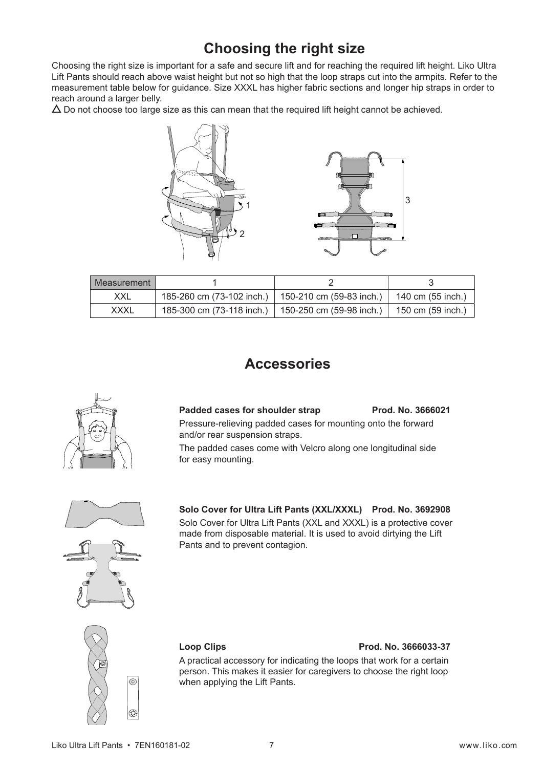## **Choosing the right size**

Choosing the right size is important for a safe and secure lift and for reaching the required lift height. Liko Ultra Lift Pants should reach above waist height but not so high that the loop straps cut into the armpits. Refer to the measurement table below for guidance. Size XXXL has higher fabric sections and longer hip straps in order to reach around a larger belly.

 $\Delta$  Do not choose too large size as this can mean that the required lift height cannot be achieved.



| l Measurement |                                                      |                   |
|---------------|------------------------------------------------------|-------------------|
| XXL           | 185-260 cm (73-102 inch.)   150-210 cm (59-83 inch.) | 140 cm (55 inch.) |
| <b>XXXL</b>   | 185-300 cm (73-118 inch.)   150-250 cm (59-98 inch.) | 150 cm (59 inch.) |

## **Accessories**



Padded cases for shoulder strap Prod. No. 3666021 Pressure-relieving padded cases for mounting onto the forward and/or rear suspension straps.

The padded cases come with Velcro along one longitudinal side for easy mounting.



**Solo Cover for Ultra Lift Pants (XXL/XXXL) Prod. No. 3692908** Solo Cover for Ultra Lift Pants (XXL and XXXL) is a protective cover made from disposable material. It is used to avoid dirtying the Lift Pants and to prevent contagion.



### **Loop Clips Prod. No. 3666033-37**

A practical accessory for indicating the loops that work for a certain person. This makes it easier for caregivers to choose the right loop when applying the Lift Pants.